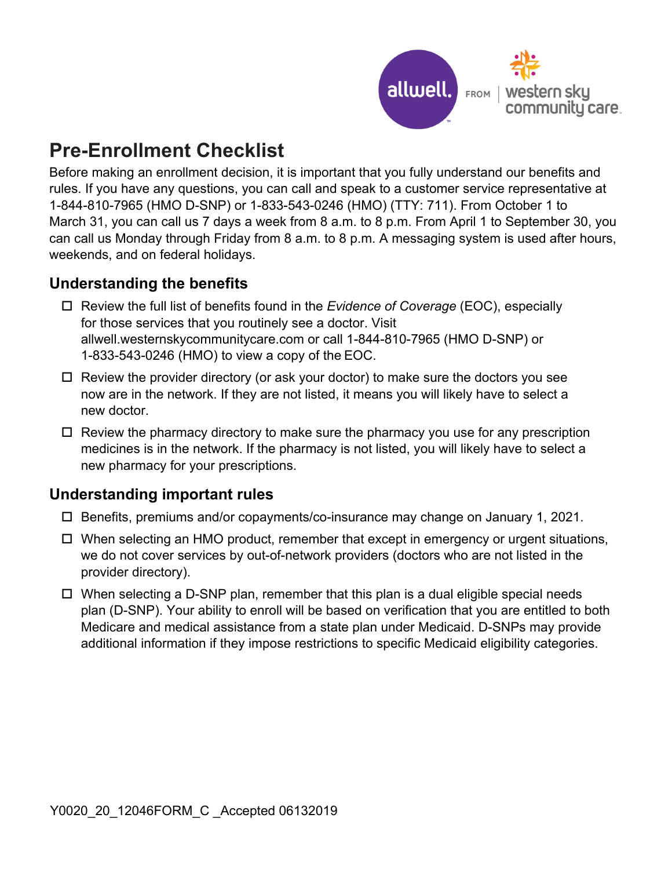

## **Pre-Enrollment Checklist**

Before making an enrollment decision, it is important that you fully understand our benefits and rules. If you have any questions, you can call and speak to a customer service representative at 1-844-810-7965 (HMO D-SNP) or 1-833-543-0246 (HMO) (TTY: 711). From October 1 to March 31, you can call us 7 days a week from 8 a.m. to 8 p.m. From April 1 to September 30, you can call us Monday through Friday from 8 a.m. to 8 p.m. A messaging system is used after hours, weekends, and on federal holidays.

## **Understanding the benefits**

- Review the full list of benefits found in the *Evidence of Coverage* (EOC), especially for those services that you routinely see a doctor. Visit [allwell.westernskycommunitycare.com](http://allwell.westernskycommunitycare.com) or call 1-844-810-7965 (HMO D-SNP) or 1-833-543-0246 (HMO) to view a copy of the EOC.
- $\Box$  Review the provider directory (or ask your doctor) to make sure the doctors you see now are in the network. If they are not listed, it means you will likely have to select a new doctor.
- $\Box$  Review the pharmacy directory to make sure the pharmacy you use for any prescription medicines is in the network. If the pharmacy is not listed, you will likely have to select a new pharmacy for your prescriptions.

## **Understanding important rules**

- Benefits, premiums and/or copayments/co-insurance may change on January 1, 2021.
- When selecting an HMO product, remember that except in emergency or urgent situations, we do not cover services by out-of-network providers (doctors who are not listed in the provider directory).
- □ When selecting a D-SNP plan, remember that this plan is a dual eligible special needs plan (D-SNP). Your ability to enroll will be based on verification that you are entitled to both Medicare and medical assistance from a state plan under Medicaid. D-SNPs may provide additional information if they impose restrictions to specific Medicaid eligibility categories.